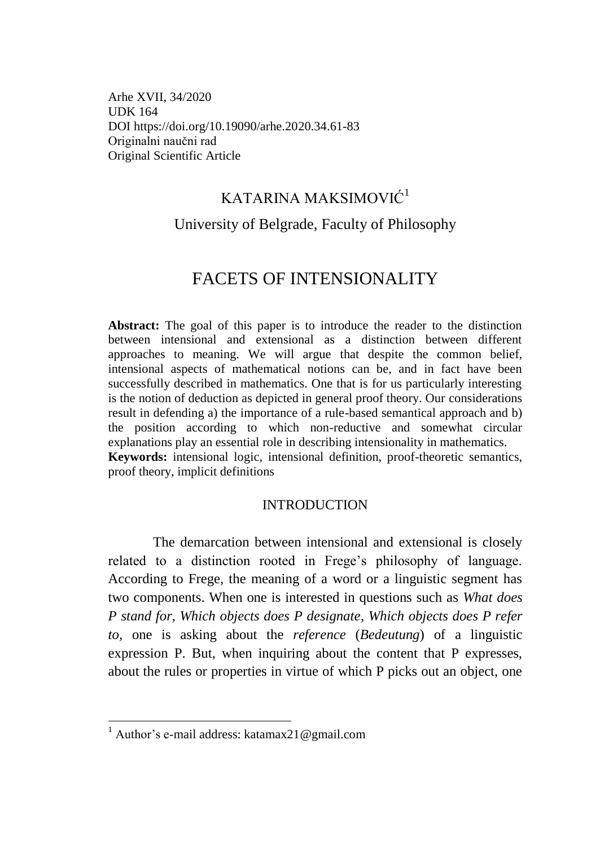Arhe XVII, 34/2020 UDK 164 DOI https://doi.org/10.19090/arhe.2020.3[4.61-](#page-0-0)[83](#page-22-0)  Originalni naučni rad Original Scientific Article

## KATARINA MAKSIMOVIĆ<sup>1</sup>

# <span id="page-0-0"></span>University of Belgrade, Faculty of Philosophy

# FACETS OF INTENSIONALITY

Abstract: The goal of this paper is to introduce the reader to the distinction between intensional and extensional as a distinction between different approaches to meaning. We will argue that despite the common belief, intensional aspects of mathematical notions can be, and in fact have been successfully described in mathematics. One that is for us particularly interesting is the notion of deduction as depicted in general proof theory. Our considerations result in defending a) the importance of a rule-based semantical approach and b) the position according to which non-reductive and somewhat circular explanations play an essential role in describing intensionality in mathematics. **Keywords:** intensional logic, intensional definition, proof-theoretic semantics, proof theory, implicit definitions

#### INTRODUCTION

The demarcation between intensional and extensional is closely related to a distinction rooted in Frege's philosophy of language. According to Frege, the meaning of a word or a linguistic segment has two components. When one is interested in questions such as *What does P stand for, Which objects does P designate*, *Which objects does P refer to,* one is asking about the *reference* (*Bedeutung*) of a linguistic expression P. But, when inquiring about the content that P expresses, about the rules or properties in virtue of which P picks out an object, one

<sup>&</sup>lt;sup>1</sup> Author's e-mail address: katamax21@gmail.com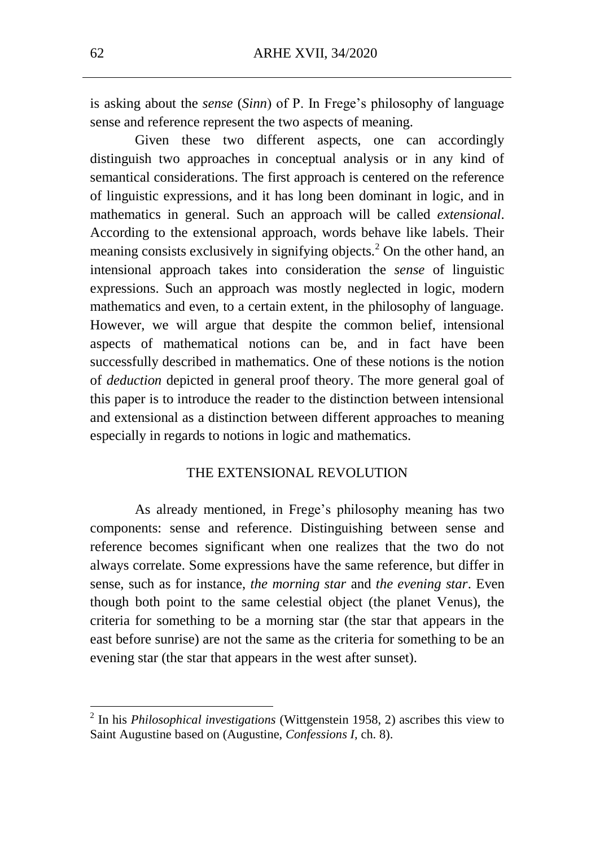is asking about the *sense* (*Sinn*) of P. In Frege's philosophy of language sense and reference represent the two aspects of meaning.

Given these two different aspects, one can accordingly distinguish two approaches in conceptual analysis or in any kind of semantical considerations. The first approach is centered on the reference of linguistic expressions, and it has long been dominant in logic, and in mathematics in general. Such an approach will be called *extensional*. According to the extensional approach, words behave like labels. Their meaning consists exclusively in signifying objects.<sup>2</sup> On the other hand, an intensional approach takes into consideration the *sense* of linguistic expressions. Such an approach was mostly neglected in logic, modern mathematics and even, to a certain extent, in the philosophy of language. However, we will argue that despite the common belief, intensional aspects of mathematical notions can be, and in fact have been successfully described in mathematics. One of these notions is the notion of *deduction* depicted in general proof theory. The more general goal of this paper is to introduce the reader to the distinction between intensional and extensional as a distinction between different approaches to meaning especially in regards to notions in logic and mathematics.

#### THE EXTENSIONAL REVOLUTION

As already mentioned, in Frege's philosophy meaning has two components: sense and reference. Distinguishing between sense and reference becomes significant when one realizes that the two do not always correlate. Some expressions have the same reference, but differ in sense, such as for instance, *the morning star* and *the evening star*. Even though both point to the same celestial object (the planet Venus), the criteria for something to be a morning star (the star that appears in the east before sunrise) are not the same as the criteria for something to be an evening star (the star that appears in the west after sunset).

<sup>2</sup> In his *Philosophical investigations* (Wittgenstein 1958, 2) ascribes this view to Saint Augustine based on (Augustine, *Confessions I,* ch. 8).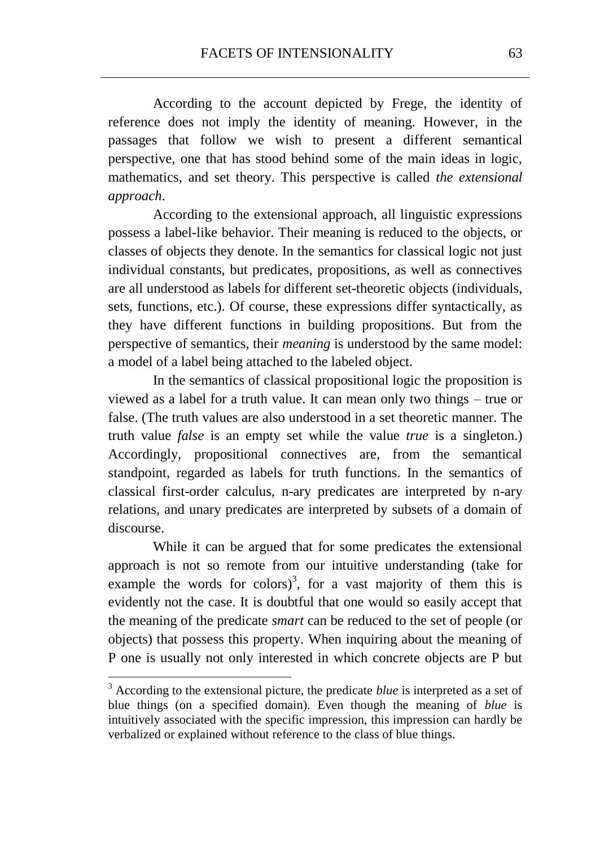According to the account depicted by Frege, the identity of reference does not imply the identity of meaning. However, in the passages that follow we wish to present a different semantical perspective, one that has stood behind some of the main ideas in logic, mathematics, and set theory. This perspective is called *the extensional approach*.

According to the extensional approach, all linguistic expressions possess a label-like behavior. Their meaning is reduced to the objects, or classes of objects they denote. In the semantics for classical logic not just individual constants, but predicates, propositions, as well as connectives are all understood as labels for different set-theoretic objects (individuals, sets, functions, etc.). Of course, these expressions differ syntactically, as they have different functions in building propositions. But from the perspective of semantics, their *meaning* is understood by the same model: a model of a label being attached to the labeled object.

In the semantics of classical propositional logic the proposition is viewed as a label for a truth value. It can mean only two things – true or false. (The truth values are also understood in a set theoretic manner. The truth value *false* is an empty set while the value *true* is a singleton.) Accordingly, propositional connectives are, from the semantical standpoint, regarded as labels for truth functions. In the semantics of classical first-order calculus, n-ary predicates are interpreted by n-ary relations, and unary predicates are interpreted by subsets of a domain of discourse.

While it can be argued that for some predicates the extensional approach is not so remote from our intuitive understanding (take for example the words for colors)<sup>3</sup>, for a vast majority of them this is evidently not the case. It is doubtful that one would so easily accept that the meaning of the predicate *smart* can be reduced to the set of people (or objects) that possess this property. When inquiring about the meaning of P one is usually not only interested in which concrete objects are P but

<sup>&</sup>lt;sup>3</sup> According to the extensional picture, the predicate *blue* is interpreted as a set of blue things (on a specified domain). Even though the meaning of *blue* is intuitively associated with the specific impression, this impression can hardly be verbalized or explained without reference to the class of blue things.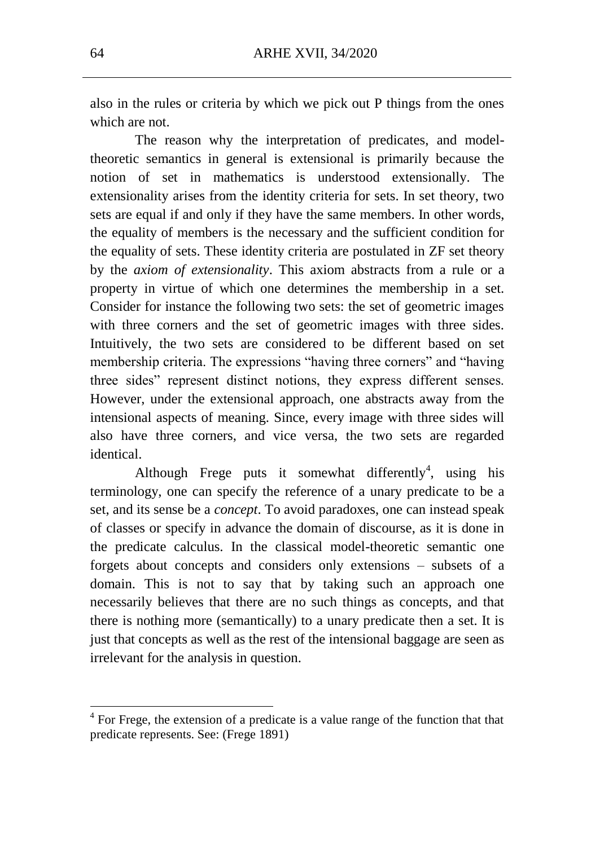also in the rules or criteria by which we pick out P things from the ones which are not.

The reason why the interpretation of predicates, and modeltheoretic semantics in general is extensional is primarily because the notion of set in mathematics is understood extensionally. The extensionality arises from the identity criteria for sets. In set theory, two sets are equal if and only if they have the same members. In other words, the equality of members is the necessary and the sufficient condition for the equality of sets. These identity criteria are postulated in ZF set theory by the *axiom of extensionality*. This axiom abstracts from a rule or a property in virtue of which one determines the membership in a set. Consider for instance the following two sets: the set of geometric images with three corners and the set of geometric images with three sides. Intuitively, the two sets are considered to be different based on set membership criteria. The expressions "having three corners" and "having three sides" represent distinct notions, they express different senses. However, under the extensional approach, one abstracts away from the intensional aspects of meaning. Since, every image with three sides will also have three corners, and vice versa, the two sets are regarded identical.

Although Frege puts it somewhat differently<sup>4</sup>, using his terminology, one can specify the reference of a unary predicate to be a set, and its sense be a *concept*. To avoid paradoxes, one can instead speak of classes or specify in advance the domain of discourse, as it is done in the predicate calculus. In the classical model-theoretic semantic one forgets about concepts and considers only extensions – subsets of a domain. This is not to say that by taking such an approach one necessarily believes that there are no such things as concepts, and that there is nothing more (semantically) to a unary predicate then a set. It is just that concepts as well as the rest of the intensional baggage are seen as irrelevant for the analysis in question.

<sup>4</sup> For Frege, the extension of a predicate is a value range of the function that that predicate represents. See: (Frege 1891)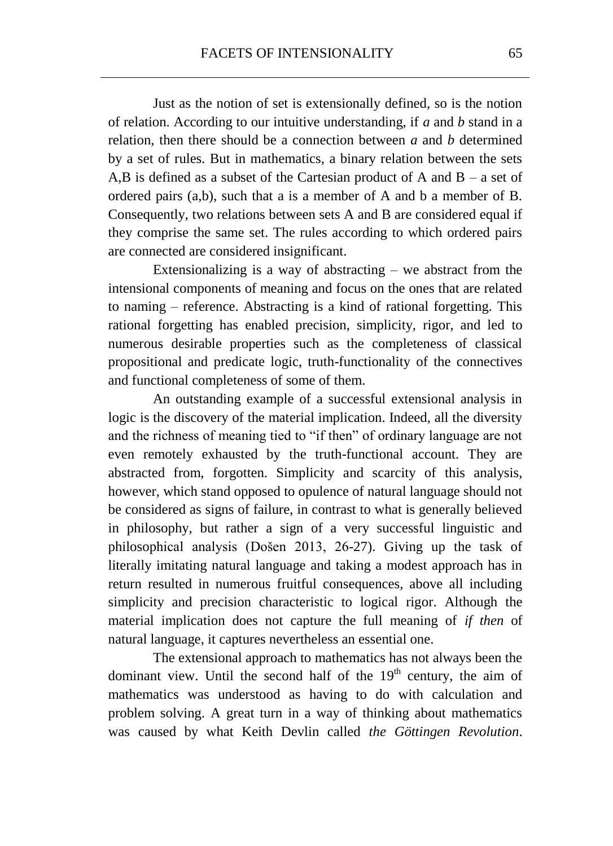Just as the notion of set is extensionally defined, so is the notion of relation. According to our intuitive understanding, if *a* and *b* stand in a relation, then there should be a connection between *a* and *b* determined by a set of rules. But in mathematics, a binary relation between the sets A,B is defined as a subset of the Cartesian product of A and  $B - a$  set of ordered pairs (a,b), such that a is a member of A and b a member of B. Consequently, two relations between sets A and B are considered equal if they comprise the same set. The rules according to which ordered pairs are connected are considered insignificant.

Extensionalizing is a way of abstracting  $-$  we abstract from the intensional components of meaning and focus on the ones that are related to naming – reference. Abstracting is a kind of rational forgetting. This rational forgetting has enabled precision, simplicity, rigor, and led to numerous desirable properties such as the completeness of classical propositional and predicate logic, truth-functionality of the connectives and functional completeness of some of them.

An outstanding example of a successful extensional analysis in logic is the discovery of the material implication. Indeed, all the diversity and the richness of meaning tied to "if then" of ordinary language are not even remotely exhausted by the truth-functional account. They are abstracted from, forgotten. Simplicity and scarcity of this analysis, however, which stand opposed to opulence of natural language should not be considered as signs of failure, in contrast to what is generally believed in philosophy, but rather a sign of a very successful linguistic and philosophical analysis (Došen 2013, 26-27). Giving up the task of literally imitating natural language and taking a modest approach has in return resulted in numerous fruitful consequences, above all including simplicity and precision characteristic to logical rigor. Although the material implication does not capture the full meaning of *if then* of natural language, it captures nevertheless an essential one.

The extensional approach to mathematics has not always been the dominant view. Until the second half of the  $19<sup>th</sup>$  century, the aim of mathematics was understood as having to do with calculation and problem solving. A great turn in a way of thinking about mathematics was caused by what Keith Devlin called *the Göttingen Revolution*.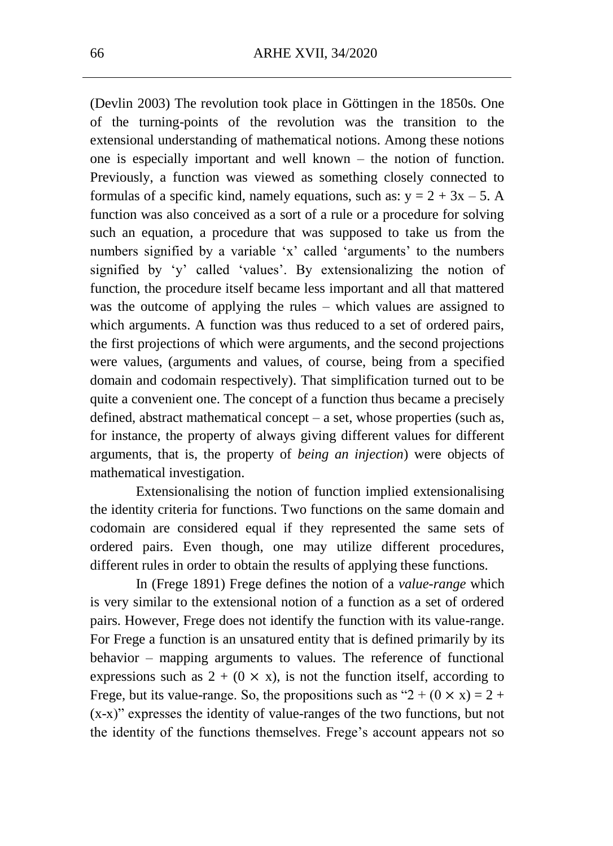(Devlin 2003) The revolution took place in Göttingen in the 1850s. One of the turning-points of the revolution was the transition to the extensional understanding of mathematical notions. Among these notions one is especially important and well known – the notion of function. Previously, a function was viewed as something closely connected to formulas of a specific kind, namely equations, such as:  $y = 2 + 3x - 5$ . A function was also conceived as a sort of a rule or a procedure for solving such an equation, a procedure that was supposed to take us from the numbers signified by a variable 'x' called 'arguments' to the numbers signified by 'y' called 'values'. By extensionalizing the notion of function, the procedure itself became less important and all that mattered was the outcome of applying the rules – which values are assigned to which arguments. A function was thus reduced to a set of ordered pairs, the first projections of which were arguments, and the second projections were values, (arguments and values, of course, being from a specified domain and codomain respectively). That simplification turned out to be quite a convenient one. The concept of a function thus became a precisely defined, abstract mathematical concept – a set, whose properties (such as, for instance, the property of always giving different values for different arguments, that is, the property of *being an injection*) were objects of mathematical investigation.

Extensionalising the notion of function implied extensionalising the identity criteria for functions. Two functions on the same domain and codomain are considered equal if they represented the same sets of ordered pairs. Even though, one may utilize different procedures, different rules in order to obtain the results of applying these functions.

In (Frege 1891) Frege defines the notion of a *value-range* which is very similar to the extensional notion of a function as a set of ordered pairs. However, Frege does not identify the function with its value-range. For Frege a function is an unsatured entity that is defined primarily by its behavior – mapping arguments to values. The reference of functional expressions such as  $2 + (0 \times x)$ , is not the function itself, according to Frege, but its value-range. So, the propositions such as " $2 + (0 \times x) = 2 +$ (x-x)" expresses the identity of value-ranges of the two functions, but not the identity of the functions themselves. Frege's account appears not so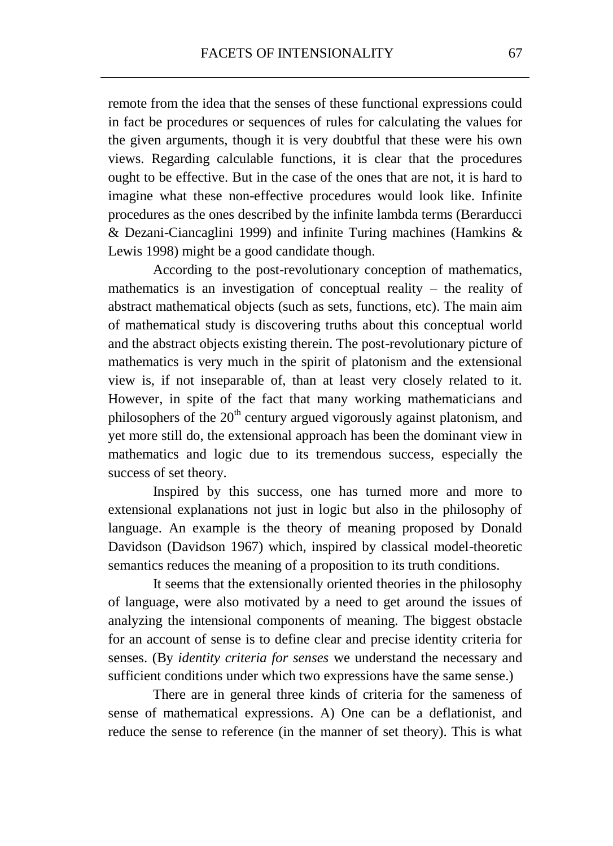remote from the idea that the senses of these functional expressions could in fact be procedures or sequences of rules for calculating the values for the given arguments, though it is very doubtful that these were his own views. Regarding calculable functions, it is clear that the procedures ought to be effective. But in the case of the ones that are not, it is hard to imagine what these non-effective procedures would look like. Infinite procedures as the ones described by the infinite lambda terms (Berarducci & Dezani-Ciancaglini 1999) and infinite Turing machines (Hamkins & Lewis 1998) might be a good candidate though.

According to the post-revolutionary conception of mathematics, mathematics is an investigation of conceptual reality – the reality of abstract mathematical objects (such as sets, functions, etc). The main aim of mathematical study is discovering truths about this conceptual world and the abstract objects existing therein. The post-revolutionary picture of mathematics is very much in the spirit of platonism and the extensional view is, if not inseparable of, than at least very closely related to it. However, in spite of the fact that many working mathematicians and philosophers of the  $20<sup>th</sup>$  century argued vigorously against platonism, and yet more still do, the extensional approach has been the dominant view in mathematics and logic due to its tremendous success, especially the success of set theory.

Inspired by this success, one has turned more and more to extensional explanations not just in logic but also in the philosophy of language. An example is the theory of meaning proposed by Donald Davidson (Davidson 1967) which, inspired by classical model-theoretic semantics reduces the meaning of a proposition to its truth conditions.

It seems that the extensionally oriented theories in the philosophy of language, were also motivated by a need to get around the issues of analyzing the intensional components of meaning. The biggest obstacle for an account of sense is to define clear and precise identity criteria for senses. (By *identity criteria for senses* we understand the necessary and sufficient conditions under which two expressions have the same sense.)

There are in general three kinds of criteria for the sameness of sense of mathematical expressions. A) One can be a deflationist, and reduce the sense to reference (in the manner of set theory). This is what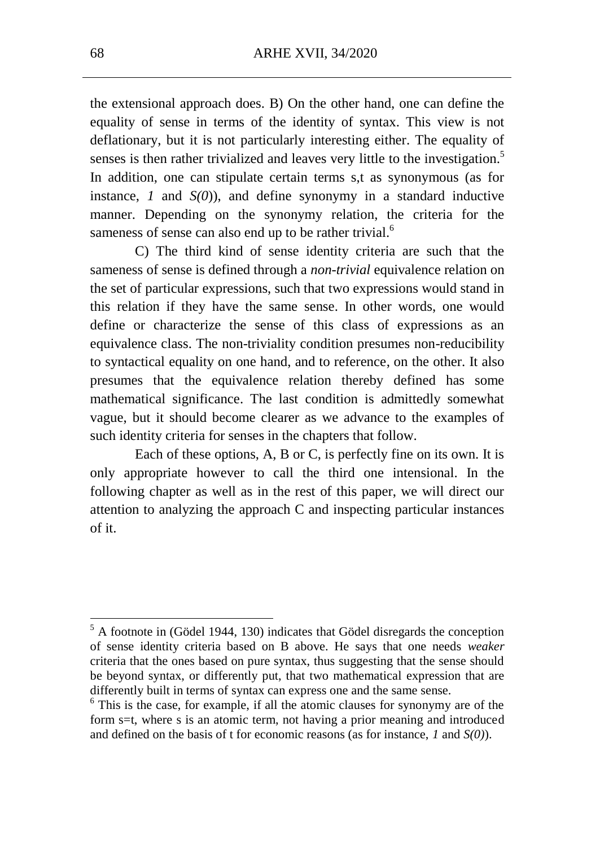the extensional approach does. B) On the other hand, one can define the equality of sense in terms of the identity of syntax. This view is not deflationary, but it is not particularly interesting either. The equality of senses is then rather trivialized and leaves very little to the investigation.<sup>5</sup> In addition, one can stipulate certain terms s,t as synonymous (as for instance, *1* and *S(0*)), and define synonymy in a standard inductive manner. Depending on the synonymy relation, the criteria for the sameness of sense can also end up to be rather trivial.<sup>6</sup>

C) The third kind of sense identity criteria are such that the sameness of sense is defined through a *non-trivial* equivalence relation on the set of particular expressions, such that two expressions would stand in this relation if they have the same sense. In other words, one would define or characterize the sense of this class of expressions as an equivalence class. The non-triviality condition presumes non-reducibility to syntactical equality on one hand, and to reference, on the other. It also presumes that the equivalence relation thereby defined has some mathematical significance. The last condition is admittedly somewhat vague, but it should become clearer as we advance to the examples of such identity criteria for senses in the chapters that follow.

Each of these options, A, B or C, is perfectly fine on its own. It is only appropriate however to call the third one intensional. In the following chapter as well as in the rest of this paper, we will direct our attention to analyzing the approach C and inspecting particular instances of it.

 $<sup>5</sup>$  A footnote in (Gödel 1944, 130) indicates that Gödel disregards the conception</sup> of sense identity criteria based on B above. He says that one needs *weaker* criteria that the ones based on pure syntax, thus suggesting that the sense should be beyond syntax, or differently put, that two mathematical expression that are differently built in terms of syntax can express one and the same sense.

<sup>&</sup>lt;sup>6</sup> This is the case, for example, if all the atomic clauses for synonymy are of the form s=t, where s is an atomic term, not having a prior meaning and introduced and defined on the basis of t for economic reasons (as for instance, *1* and *S(0)*).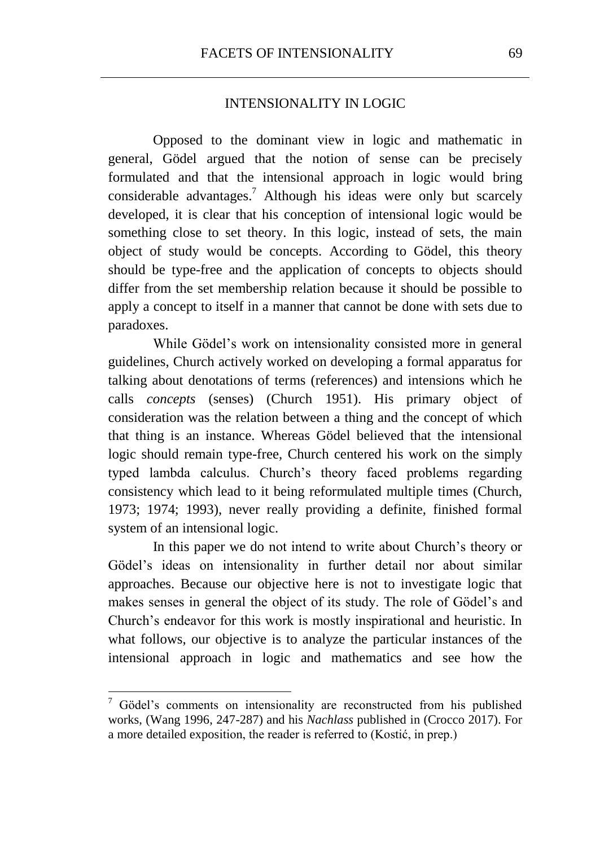#### INTENSIONALITY IN LOGIC

Opposed to the dominant view in logic and mathematic in general, Gödel argued that the notion of sense can be precisely formulated and that the intensional approach in logic would bring considerable advantages.<sup>7</sup> Although his ideas were only but scarcely developed, it is clear that his conception of intensional logic would be something close to set theory. In this logic, instead of sets, the main object of study would be concepts. According to Gödel, this theory should be type-free and the application of concepts to objects should differ from the set membership relation because it should be possible to apply a concept to itself in a manner that cannot be done with sets due to paradoxes.

While Gödel's work on intensionality consisted more in general guidelines, Church actively worked on developing a formal apparatus for talking about denotations of terms (references) and intensions which he calls *concepts* (senses) (Church 1951). His primary object of consideration was the relation between a thing and the concept of which that thing is an instance. Whereas Gödel believed that the intensional logic should remain type-free, Church centered his work on the simply typed lambda calculus. Church's theory faced problems regarding consistency which lead to it being reformulated multiple times (Church, 1973; 1974; 1993), never really providing a definite, finished formal system of an intensional logic.

In this paper we do not intend to write about Church's theory or Gödel's ideas on intensionality in further detail nor about similar approaches. Because our objective here is not to investigate logic that makes senses in general the object of its study. The role of Gödel's and Church's endeavor for this work is mostly inspirational and heuristic. In what follows, our objective is to analyze the particular instances of the intensional approach in logic and mathematics and see how the

 $7$  Gödel's comments on intensionality are reconstructed from his published works, (Wang 1996, 247-287) and his *Nachlass* published in (Crocco 2017). For a more detailed exposition, the reader is referred to (Kostić, in prep.)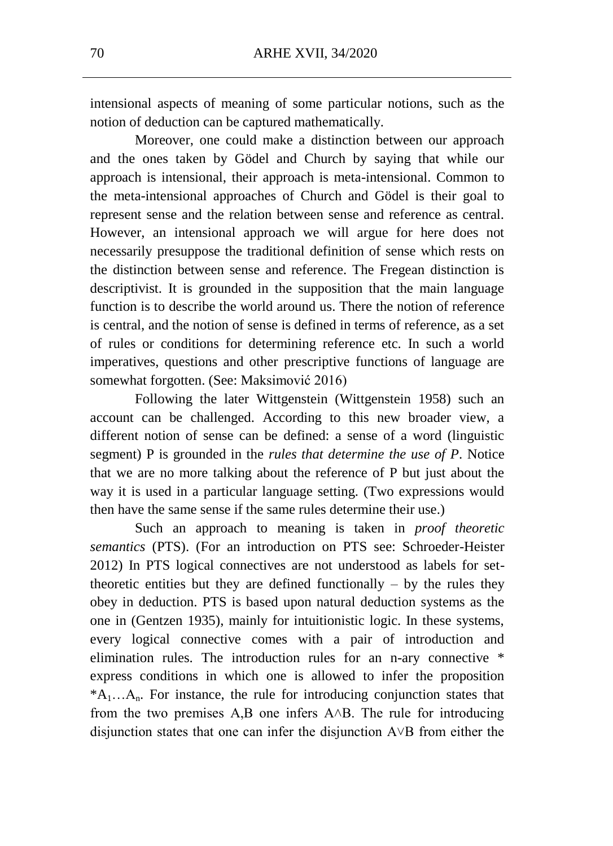intensional aspects of meaning of some particular notions, such as the notion of deduction can be captured mathematically.

Moreover, one could make a distinction between our approach and the ones taken by Gödel and Church by saying that while our approach is intensional, their approach is meta-intensional. Common to the meta-intensional approaches of Church and Gödel is their goal to represent sense and the relation between sense and reference as central. However, an intensional approach we will argue for here does not necessarily presuppose the traditional definition of sense which rests on the distinction between sense and reference. The Fregean distinction is descriptivist. It is grounded in the supposition that the main language function is to describe the world around us. There the notion of reference is central, and the notion of sense is defined in terms of reference, as a set of rules or conditions for determining reference etc. In such a world imperatives, questions and other prescriptive functions of language are somewhat forgotten. (See: Maksimović 2016)

Following the later Wittgenstein (Wittgenstein 1958) such an account can be challenged. According to this new broader view, a different notion of sense can be defined: a sense of a word (linguistic segment) P is grounded in the *rules that determine the use of P*. Notice that we are no more talking about the reference of P but just about the way it is used in a particular language setting. (Two expressions would then have the same sense if the same rules determine their use.)

Such an approach to meaning is taken in *proof theoretic semantics* (PTS). (For an introduction on PTS see: Schroeder-Heister 2012) In PTS logical connectives are not understood as labels for settheoretic entities but they are defined functionally  $-$  by the rules they obey in deduction. PTS is based upon natural deduction systems as the one in (Gentzen 1935), mainly for intuitionistic logic. In these systems, every logical connective comes with a pair of introduction and elimination rules. The introduction rules for an n-ary connective \* express conditions in which one is allowed to infer the proposition  $*A_1...A_n$ . For instance, the rule for introducing conjunction states that from the two premises  $A, B$  one infers  $A \wedge B$ . The rule for introducing disjunction states that one can infer the disjunction  $A \vee B$  from either the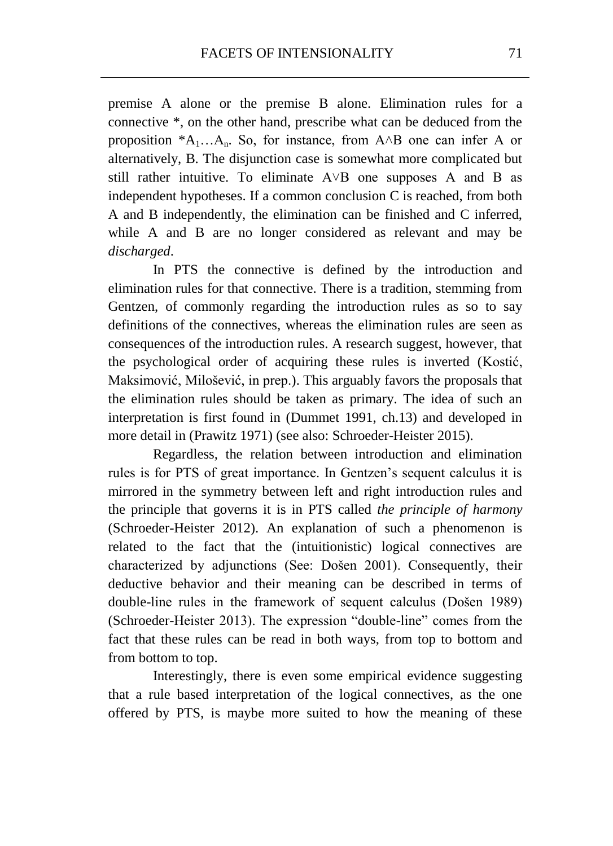premise A alone or the premise B alone. Elimination rules for a connective \*, on the other hand, prescribe what can be deduced from the proposition  $^*A_1...A_n$ . So, for instance, from  $A \wedge B$  one can infer A or alternatively, B. The disjunction case is somewhat more complicated but still rather intuitive. To eliminate  $A \vee B$  one supposes A and B as independent hypotheses. If a common conclusion C is reached, from both A and B independently, the elimination can be finished and C inferred, while A and B are no longer considered as relevant and may be *discharged*.

In PTS the connective is defined by the introduction and elimination rules for that connective. There is a tradition, stemming from Gentzen, of commonly regarding the introduction rules as so to say definitions of the connectives, whereas the elimination rules are seen as consequences of the introduction rules. A research suggest, however, that the psychological order of acquiring these rules is inverted (Kostić, Maksimović, Milošević, in prep.). This arguably favors the proposals that the elimination rules should be taken as primary. The idea of such an interpretation is first found in (Dummet 1991, ch.13) and developed in more detail in (Prawitz 1971) (see also: Schroeder-Heister 2015).

Regardless, the relation between introduction and elimination rules is for PTS of great importance. In Gentzen's sequent calculus it is mirrored in the symmetry between left and right introduction rules and the principle that governs it is in PTS called *the principle of harmony*  (Schroeder-Heister 2012). An explanation of such a phenomenon is related to the fact that the (intuitionistic) logical connectives are characterized by adjunctions (See: Došen 2001). Consequently, their deductive behavior and their meaning can be described in terms of double-line rules in the framework of sequent calculus (Došen 1989) (Schroeder-Heister 2013). The expression "double-line" comes from the fact that these rules can be read in both ways, from top to bottom and from bottom to top.

Interestingly, there is even some empirical evidence suggesting that a rule based interpretation of the logical connectives, as the one offered by PTS, is maybe more suited to how the meaning of these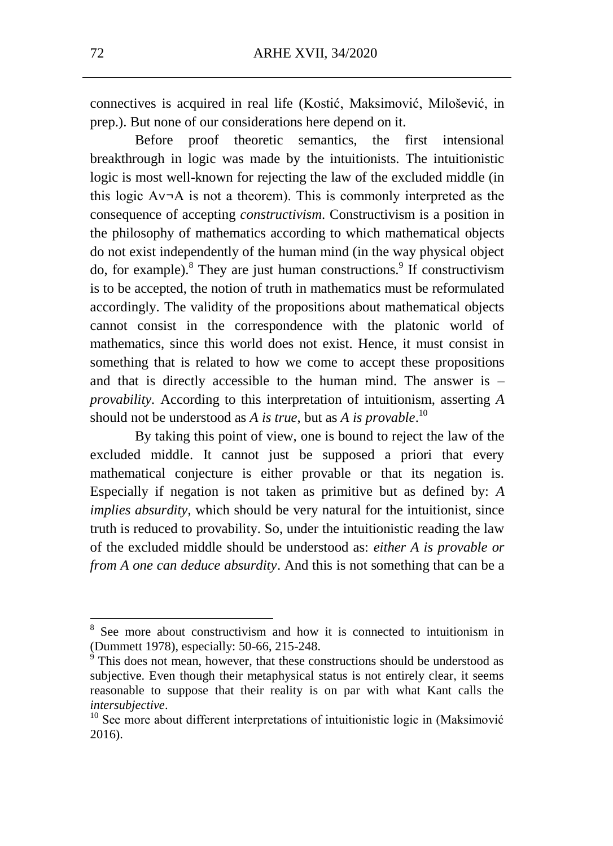connectives is acquired in real life (Kostić, Maksimović, Milošević, in prep.). But none of our considerations here depend on it.

Before proof theoretic semantics, the first intensional breakthrough in logic was made by the intuitionists. The intuitionistic logic is most well-known for rejecting the law of the excluded middle (in this logic  $A \vee A$  is not a theorem). This is commonly interpreted as the consequence of accepting *constructivism*. Constructivism is a position in the philosophy of mathematics according to which mathematical objects do not exist independently of the human mind (in the way physical object do, for example). $8$  They are just human constructions. $9$  If constructivism is to be accepted, the notion of truth in mathematics must be reformulated accordingly. The validity of the propositions about mathematical objects cannot consist in the correspondence with the platonic world of mathematics, since this world does not exist. Hence, it must consist in something that is related to how we come to accept these propositions and that is directly accessible to the human mind. The answer is – *provability.* According to this interpretation of intuitionism, asserting *A*  should not be understood as *A is true*, but as *A is provable*. 10

By taking this point of view, one is bound to reject the law of the excluded middle. It cannot just be supposed a priori that every mathematical conjecture is either provable or that its negation is. Especially if negation is not taken as primitive but as defined by: *A implies absurdity*, which should be very natural for the intuitionist, since truth is reduced to provability. So, under the intuitionistic reading the law of the excluded middle should be understood as: *either A is provable or from A one can deduce absurdity*. And this is not something that can be a

<sup>&</sup>lt;sup>8</sup> See more about constructivism and how it is connected to intuitionism in (Dummett 1978), especially: 50-66, 215-248.

 $9^9$  This does not mean, however, that these constructions should be understood as subjective. Even though their metaphysical status is not entirely clear, it seems reasonable to suppose that their reality is on par with what Kant calls the *intersubjective*.

<sup>&</sup>lt;sup>10</sup> See more about different interpretations of intuitionistic logic in (Maksimović 2016).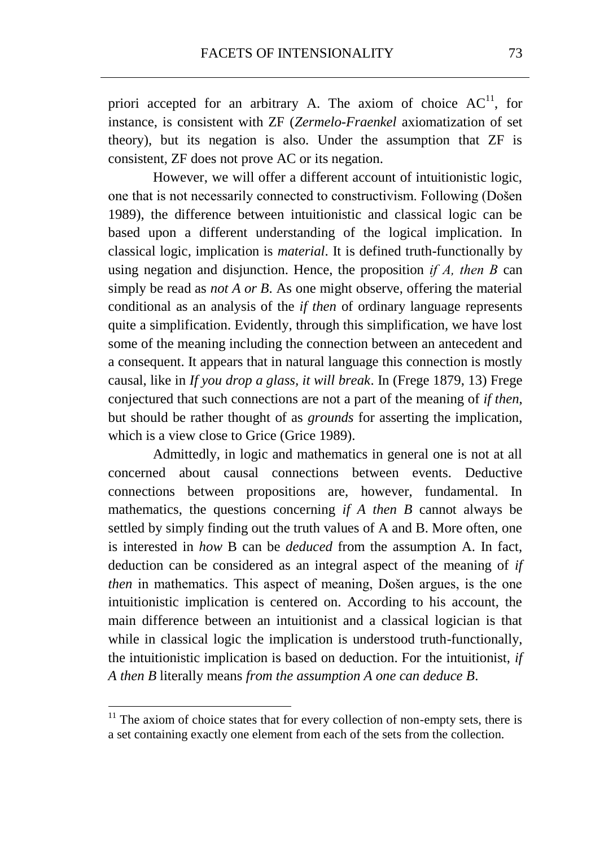priori accepted for an arbitrary A. The axiom of choice  $AC^{11}$ , for instance, is consistent with ZF (*Zermelo-Fraenkel* axiomatization of set theory), but its negation is also. Under the assumption that ZF is consistent, ZF does not prove AC or its negation.

However, we will offer a different account of intuitionistic logic, one that is not necessarily connected to constructivism. Following (Došen 1989), the difference between intuitionistic and classical logic can be based upon a different understanding of the logical implication. In classical logic, implication is *material*. It is defined truth-functionally by using negation and disjunction. Hence, the proposition *if А, then В* can simply be read as *not A or B*. As one might observe, offering the material conditional as an analysis of the *if then* of ordinary language represents quite a simplification. Evidently, through this simplification, we have lost some of the meaning including the connection between an antecedent and a consequent. It appears that in natural language this connection is mostly causal, like in *If you drop a glass, it will break*. In (Frege 1879, 13) Frege conjectured that such connections are not a part of the meaning of *if then*, but should be rather thought of as *grounds* for asserting the implication, which is a view close to Grice (Grice 1989).

Admittedly, in logic and mathematics in general one is not at all concerned about causal connections between events. Deductive connections between propositions are, however, fundamental. In mathematics, the questions concerning *if A then B* cannot always be settled by simply finding out the truth values of A and B. More often, one is interested in *how* B can be *deduced* from the assumption A. In fact, deduction can be considered as an integral aspect of the meaning of *if then* in mathematics. This aspect of meaning, Došen argues, is the one intuitionistic implication is centered on. According to his account, the main difference between an intuitionist and a classical logician is that while in classical logic the implication is understood truth-functionally, the intuitionistic implication is based on deduction. For the intuitionist, *if A then B* literally means *from the assumption A one can deduce B*.

 $11$ <sup>11</sup> The axiom of choice states that for every collection of non-empty sets, there is a set containing exactly one element from each of the sets from the collection.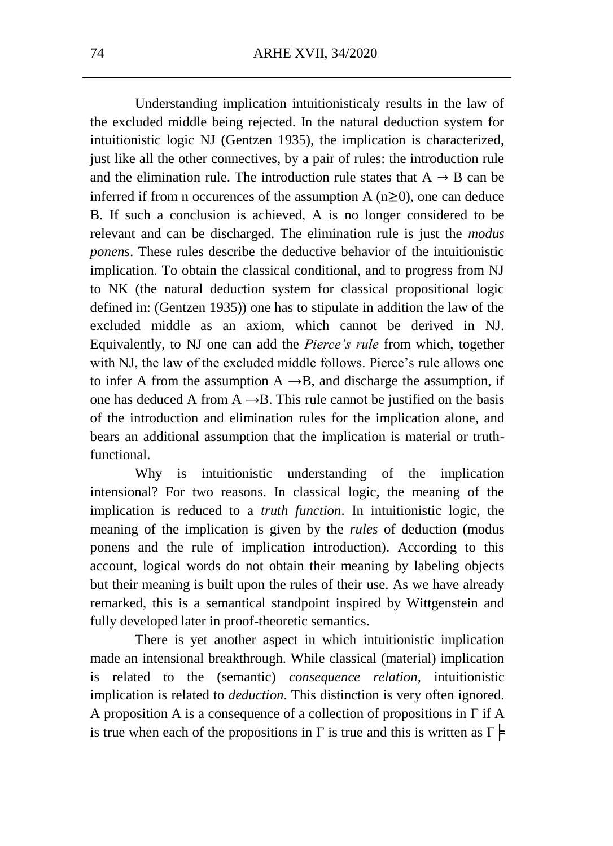Understanding implication intuitionisticaly results in the law of the excluded middle being rejected. In the natural deduction system for intuitionistic logic NJ (Gentzen 1935), the implication is characterized, just like all the other connectives, by a pair of rules: the introduction rule and the elimination rule. The introduction rule states that  $A \rightarrow B$  can be inferred if from n occurences of the assumption A  $(n\geq 0)$ , one can deduce B. If such a conclusion is achieved, A is no longer considered to be relevant and can be discharged. The elimination rule is just the *modus ponens*. These rules describe the deductive behavior of the intuitionistic implication. To obtain the classical conditional, and to progress from NJ to NK (the natural deduction system for classical propositional logic defined in: (Gentzen 1935)) one has to stipulate in addition the law of the excluded middle as an axiom, which cannot be derived in NJ. Equivalently, to NJ one can add the *Pierce's rule* from which, together with NJ, the law of the excluded middle follows. Pierce's rule allows one to infer A from the assumption  $A \rightarrow B$ , and discharge the assumption, if one has deduced A from  $A \rightarrow B$ . This rule cannot be justified on the basis of the introduction and elimination rules for the implication alone, and bears an additional assumption that the implication is material or truthfunctional.

Why is intuitionistic understanding of the implication intensional? For two reasons. In classical logic, the meaning of the implication is reduced to a *truth function*. In intuitionistic logic, the meaning of the implication is given by the *rules* of deduction (modus ponens and the rule of implication introduction). According to this account, logical words do not obtain their meaning by labeling objects but their meaning is built upon the rules of their use. As we have already remarked, this is a semantical standpoint inspired by Wittgenstein and fully developed later in proof-theoretic semantics.

There is yet another aspect in which intuitionistic implication made an intensional breakthrough. While classical (material) implication is related to the (semantic) *consequence relation*, intuitionistic implication is related to *deduction*. This distinction is very often ignored. A proposition A is a consequence of a collection of propositions in Γ if A is true when each of the propositions in  $\Gamma$  is true and this is written as  $\Gamma \models$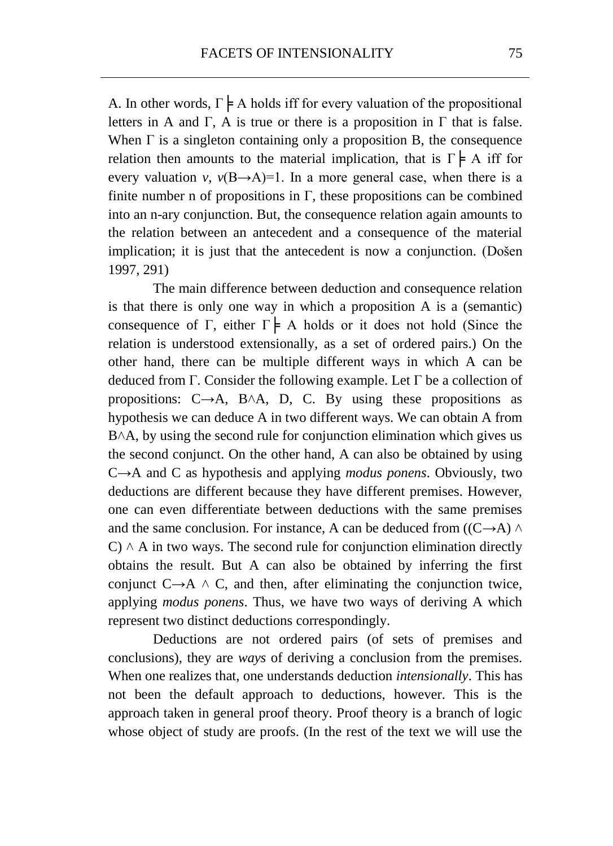A. In other words,  $\Gamma \models A$  holds iff for every valuation of the propositional letters in A and Γ, A is true or there is a proposition in  $\Gamma$  that is false. When  $\Gamma$  is a singleton containing only a proposition B, the consequence relation then amounts to the material implication, that is  $\Gamma \models A$  iff for every valuation *v*,  $v(B\rightarrow A)=1$ . In a more general case, when there is a finite number n of propositions in  $\Gamma$ , these propositions can be combined into an n-ary conjunction. But, the consequence relation again amounts to the relation between an antecedent and a consequence of the material implication; it is just that the antecedent is now a conjunction. (Došen 1997, 291)

The main difference between deduction and consequence relation is that there is only one way in which a proposition A is a (semantic) consequence of Γ, either  $\Gamma \models A$  holds or it does not hold (Since the relation is understood extensionally, as a set of ordered pairs.) On the other hand, there can be multiple different ways in which A can be deduced from Γ. Consider the following example. Let  $\Gamma$  be a collection of propositions:  $C\rightarrow A$ ,  $B\wedge A$ , D, C. By using these propositions as hypothesis we can deduce A in two different ways. We can obtain A from B $\land$ A, by using the second rule for conjunction elimination which gives us the second conjunct. On the other hand, A can also be obtained by using C→A and C as hypothesis and applying *modus ponens*. Obviously, two deductions are different because they have different premises. However, one can even differentiate between deductions with the same premises and the same conclusion. For instance, A can be deduced from ( $(C \rightarrow A) \land$  $C$ )  $\wedge$  A in two ways. The second rule for conjunction elimination directly obtains the result. But A can also be obtained by inferring the first conjunct  $C \rightarrow A \land C$ , and then, after eliminating the conjunction twice, applying *modus ponens*. Thus, we have two ways of deriving A which represent two distinct deductions correspondingly.

Deductions are not ordered pairs (of sets of premises and conclusions), they are *ways* of deriving a conclusion from the premises. When one realizes that, one understands deduction *intensionally*. This has not been the default approach to deductions, however. This is the approach taken in general proof theory. Proof theory is a branch of logic whose object of study are proofs. (In the rest of the text we will use the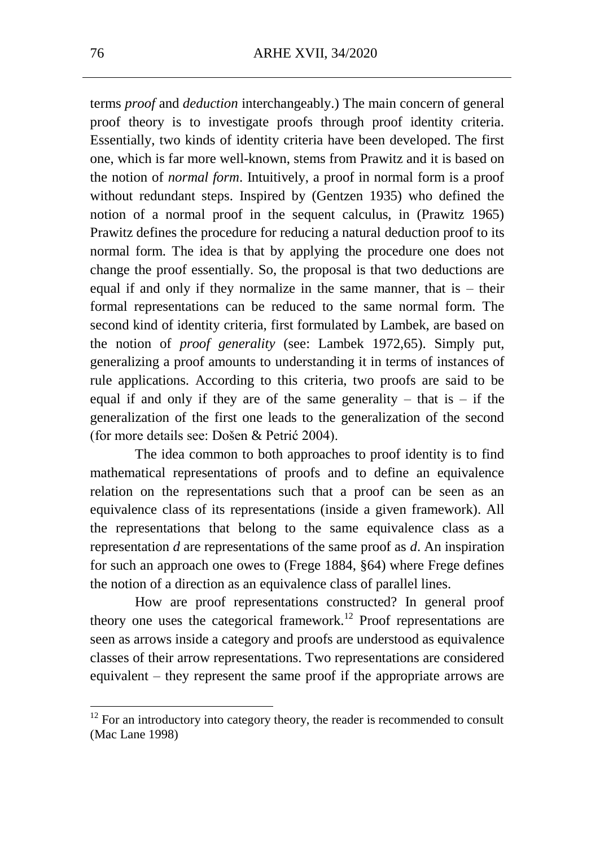terms *proof* and *deduction* interchangeably.) The main concern of general proof theory is to investigate proofs through proof identity criteria. Essentially, two kinds of identity criteria have been developed. The first one, which is far more well-known, stems from Prawitz and it is based on the notion of *normal form*. Intuitively, a proof in normal form is a proof without redundant steps. Inspired by (Gentzen 1935) who defined the notion of a normal proof in the sequent calculus, in (Prawitz 1965) Prawitz defines the procedure for reducing a natural deduction proof to its normal form. The idea is that by applying the procedure one does not change the proof essentially. So, the proposal is that two deductions are equal if and only if they normalize in the same manner, that is – their formal representations can be reduced to the same normal form. The second kind of identity criteria, first formulated by Lambek, are based on the notion of *proof generality* (see: Lambek 1972,65). Simply put, generalizing a proof amounts to understanding it in terms of instances of rule applications. According to this criteria, two proofs are said to be equal if and only if they are of the same generality – that is – if the generalization of the first one leads to the generalization of the second (for more details see: Došen & Petrić 2004).

The idea common to both approaches to proof identity is to find mathematical representations of proofs and to define an equivalence relation on the representations such that a proof can be seen as an equivalence class of its representations (inside a given framework). All the representations that belong to the same equivalence class as a representation *d* are representations of the same proof as *d*. An inspiration for such an approach one owes to (Frege 1884, §64) where Frege defines the notion of a direction as an equivalence class of parallel lines.

How are proof representations constructed? In general proof theory one uses the categorical framework.<sup>12</sup> Proof representations are seen as arrows inside a category and proofs are understood as equivalence classes of their arrow representations. Two representations are considered equivalent – they represent the same proof if the appropriate arrows are

 $12$  For an introductory into category theory, the reader is recommended to consult (Mac Lane 1998)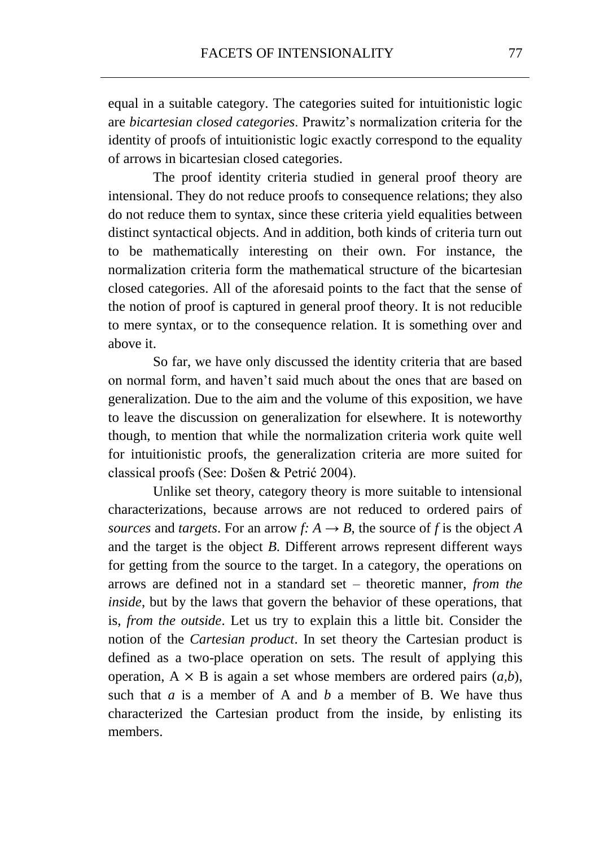equal in a suitable category. The categories suited for intuitionistic logic are *bicartesian closed categories*. Prawitz's normalization criteria for the identity of proofs of intuitionistic logic exactly correspond to the equality of arrows in bicartesian closed categories.

The proof identity criteria studied in general proof theory are intensional. They do not reduce proofs to consequence relations; they also do not reduce them to syntax, since these criteria yield equalities between distinct syntactical objects. And in addition, both kinds of criteria turn out to be mathematically interesting on their own. For instance, the normalization criteria form the mathematical structure of the bicartesian closed categories. All of the aforesaid points to the fact that the sense of the notion of proof is captured in general proof theory. It is not reducible to mere syntax, or to the consequence relation. It is something over and above it.

So far, we have only discussed the identity criteria that are based on normal form, and haven't said much about the ones that are based on generalization. Due to the aim and the volume of this exposition, we have to leave the discussion on generalization for elsewhere. It is noteworthy though, to mention that while the normalization criteria work quite well for intuitionistic proofs, the generalization criteria are more suited for classical proofs (See: Došen & Petrić 2004).

Unlike set theory, category theory is more suitable to intensional characterizations, because arrows are not reduced to ordered pairs of *sources* and *targets*. For an arrow *f:*  $A \rightarrow B$ , the source of *f* is the object *A* and the target is the object *B*. Different arrows represent different ways for getting from the source to the target. In a category, the operations on arrows are defined not in a standard set – theoretic manner, *from the inside*, but by the laws that govern the behavior of these operations, that is, *from the outside*. Let us try to explain this a little bit. Consider the notion of the *Cartesian product*. In set theory the Cartesian product is defined as a two-place operation on sets. The result of applying this operation,  $A \times B$  is again a set whose members are ordered pairs  $(a,b)$ , such that  $a$  is a member of A and  $b$  a member of B. We have thus characterized the Cartesian product from the inside, by enlisting its members.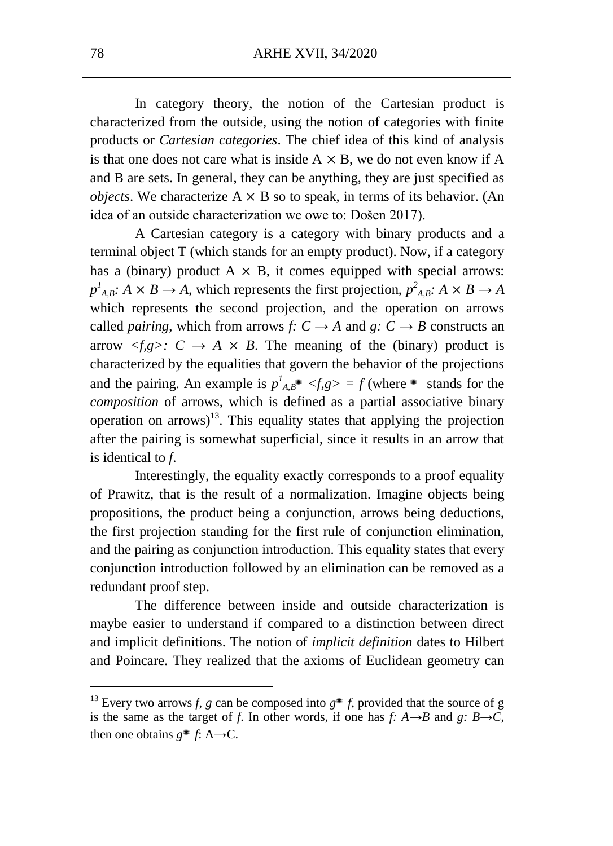In category theory, the notion of the Cartesian product is characterized from the outside, using the notion of categories with finite products or *Cartesian categories*. The chief idea of this kind of analysis is that one does not care what is inside  $A \times B$ , we do not even know if A and B are sets. In general, they can be anything, they are just specified as *objects*. We characterize  $A \times B$  so to speak, in terms of its behavior. (An idea of an outside characterization we owe to: Došen 2017).

A Cartesian category is a category with binary products and a terminal object T (which stands for an empty product). Now, if a category has a (binary) product  $A \times B$ , it comes equipped with special arrows:  $p^1_{A,B}: A \times B \to A$ , which represents the first projection,  $p^2_{A,B}: A \times B \to A$ which represents the second projection, and the operation on arrows called *pairing*, which from arrows *f:*  $C \rightarrow A$  and  $g: C \rightarrow B$  constructs an arrow  $\langle f,g \rangle$ :  $C \rightarrow A \times B$ . The meaning of the (binary) product is characterized by the equalities that govern the behavior of the projections and the pairing. An example is  $p^1_{A,B}$ <sup>\*</sup>  $\leq f,g$   $\geq f$  (where <sup>\*</sup> stands for the *composition* of arrows, which is defined as a partial associative binary operation on arrows)<sup>13</sup>. This equality states that applying the projection after the pairing is somewhat superficial, since it results in an arrow that is identical to *f*.

Interestingly, the equality exactly corresponds to a proof equality of Prawitz, that is the result of a normalization. Imagine objects being propositions, the product being a conjunction, arrows being deductions, the first projection standing for the first rule of conjunction elimination, and the pairing as conjunction introduction. This equality states that every conjunction introduction followed by an elimination can be removed as a redundant proof step.

The difference between inside and outside characterization is maybe easier to understand if compared to a distinction between direct and implicit definitions. The notion of *implicit definition* dates to Hilbert and Poincare. They realized that the axioms of Euclidean geometry can

<sup>&</sup>lt;sup>13</sup> Every two arrows *f*, *g* can be composed into  $g^*$  *f*, provided that the source of g is the same as the target of *f*. In other words, if one has *f*:  $A \rightarrow B$  and *g*:  $B \rightarrow C$ , then one obtains  $g^*$  *f*: A→C.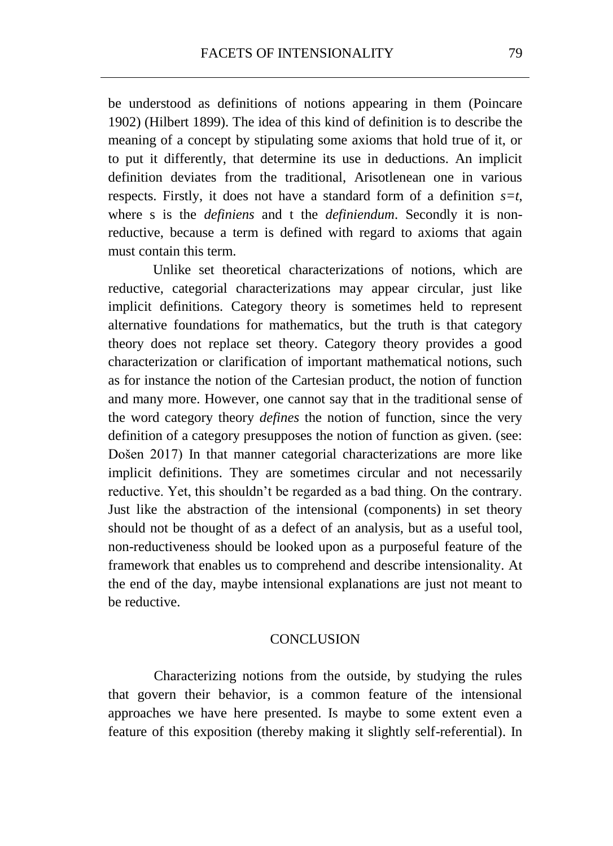be understood as definitions of notions appearing in them (Poincare 1902) (Hilbert 1899). The idea of this kind of definition is to describe the meaning of a concept by stipulating some axioms that hold true of it, or to put it differently, that determine its use in deductions. An implicit definition deviates from the traditional, Arisotlenean one in various respects. Firstly, it does not have a standard form of a definition *s=t*, where s is the *definiens* and t the *definiendum*. Secondly it is nonreductive, because a term is defined with regard to axioms that again must contain this term.

Unlike set theoretical characterizations of notions, which are reductive, categorial characterizations may appear circular, just like implicit definitions. Category theory is sometimes held to represent alternative foundations for mathematics, but the truth is that category theory does not replace set theory. Category theory provides a good characterization or clarification of important mathematical notions, such as for instance the notion of the Cartesian product, the notion of function and many more. However, one cannot say that in the traditional sense of the word category theory *defines* the notion of function, since the very definition of a category presupposes the notion of function as given. (see: Došen 2017) In that manner categorial characterizations are more like implicit definitions. They are sometimes circular and not necessarily reductive. Yet, this shouldn't be regarded as a bad thing. On the contrary. Just like the abstraction of the intensional (components) in set theory should not be thought of as a defect of an analysis, but as a useful tool, non-reductiveness should be looked upon as a purposeful feature of the framework that enables us to comprehend and describe intensionality. At the end of the day, maybe intensional explanations are just not meant to be reductive.

#### **CONCLUSION**

Characterizing notions from the outside, by studying the rules that govern their behavior, is a common feature of the intensional approaches we have here presented. Is maybe to some extent even a feature of this exposition (thereby making it slightly self-referential). In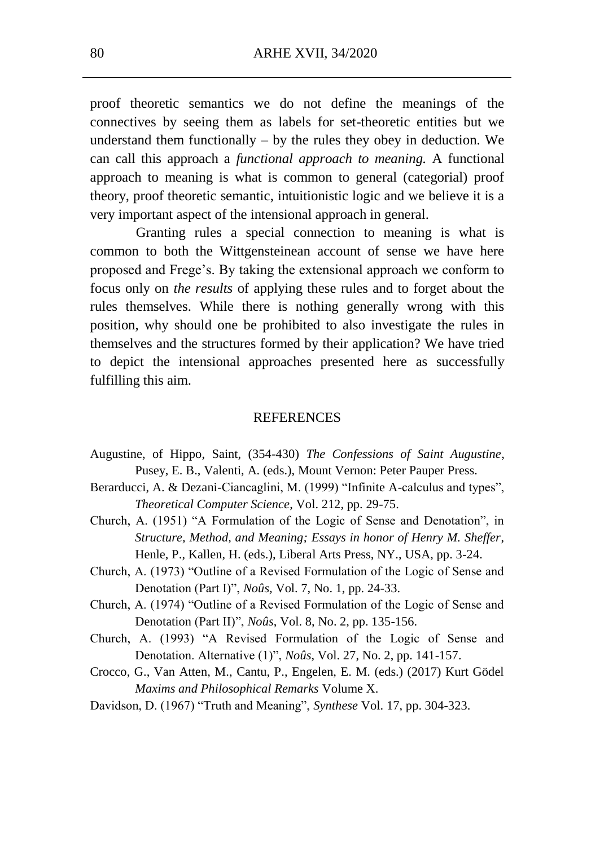proof theoretic semantics we do not define the meanings of the connectives by seeing them as labels for set-theoretic entities but we understand them functionally  $-$  by the rules they obey in deduction. We can call this approach a *functional approach to meaning.* A functional approach to meaning is what is common to general (categorial) proof theory, proof theoretic semantic, intuitionistic logic and we believe it is a very important aspect of the intensional approach in general.

Granting rules a special connection to meaning is what is common to both the Wittgensteinean account of sense we have here proposed and Frege's. By taking the extensional approach we conform to focus only on *the results* of applying these rules and to forget about the rules themselves. While there is nothing generally wrong with this position, why should one be prohibited to also investigate the rules in themselves and the structures formed by their application? We have tried to depict the intensional approaches presented here as successfully fulfilling this aim.

#### **REFERENCES**

- Augustine, of Hippo, Saint, (354-430) *The Confessions of Saint Augustine*, Pusey, E. B., Valenti, A. (eds.), Mount Vernon: Peter Pauper Press.
- Berarducci, A. & Dezani-Ciancaglini, M. (1999) "Infinite A-calculus and types", *Theoretical Computer Science*, Vol. 212, pp. 29-75.
- Church, A. (1951) "A Formulation of the Logic of Sense and Denotation", in *Structure, Method, and Meaning; Essays in honor of Henry M. Sheffer*, Henle, P., Kallen, H. (eds.), Liberal Arts Press, NY., USA, pp. 3-24.
- Church, A. (1973) "Outline of a Revised Formulation of the Logic of Sense and Denotation (Part I)", *Noûs,* Vol. 7, No. 1, pp. 24-33.
- Church, A. (1974) "Outline of a Revised Formulation of the Logic of Sense and Denotation (Part II)", *Noûs*, Vol. 8, No. 2, pp. 135-156.
- Church, A. (1993) "A Revised Formulation of the Logic of Sense and Denotation. Alternative (1)", *Noûs*, Vol. 27, No. 2, pp. 141-157.
- Crocco, G., Van Atten, M., Cantu, P., Engelen, E. M. (eds.) (2017) Kurt Gödel *Maxims and Philosophical Remarks* Volume X.
- Davidson, D. (1967) "Truth and Meaning", *Synthese* Vol. 17, pp. 304-323.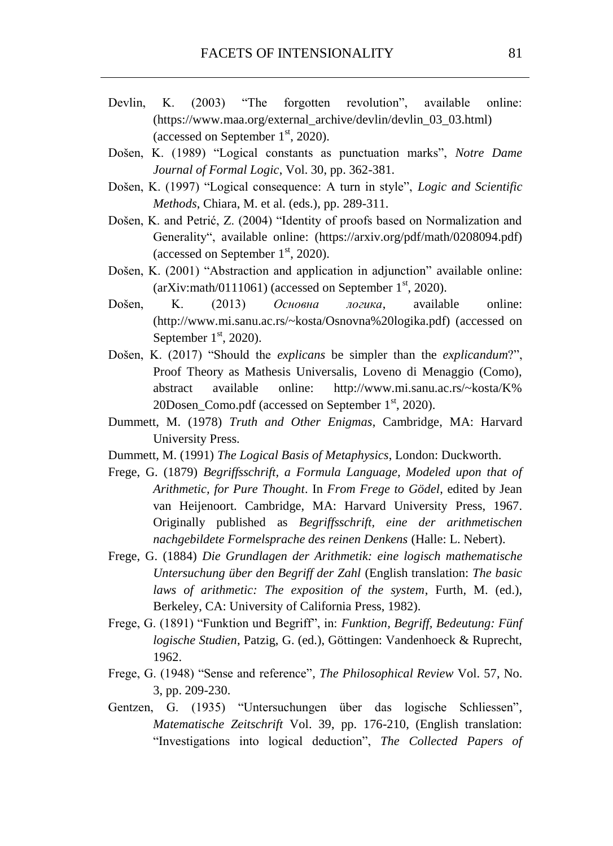- Devlin, K. (2003) "The forgotten revolution", available online: (https://www.maa.org/external\_archive/devlin/devlin\_03\_03.html) (accessed on September  $1<sup>st</sup>$ , 2020).
- Došen, K. (1989) "Logical constants as punctuation marks", *Notre Dame Journal of Formal Logic*, Vol. 30, pp. 362-381.
- Došen, K. (1997) "Logical consequence: A turn in style", *Logic and Scientific Methods*, Chiara, M. et al. (eds.), pp. 289-311.
- Došen, K. and Petrić, Z. (2004) "Identity of proofs based on Normalization and Generality", available online: (https://arxiv.org/pdf/math/0208094.pdf) (accessed on September  $1<sup>st</sup>$ , 2020).
- Došen, K. (2001) "Abstraction and application in adjunction" available online:  $arXiv:math/0111061)$  (accessed on September 1<sup>st</sup>, 2020).
- Došen, K. (2013) *Основна логика*, available online: (http://www.mi.sanu.ac.rs/~kosta/Osnovna%20logika.pdf) (accessed on September  $1<sup>st</sup>$ , 2020).
- Došen, K. (2017) "Should the *explicans* be simpler than the *explicandum*?", Proof Theory as Mathesis Universalis, Loveno di Menaggio (Como), abstract available online: http://www.mi.sanu.ac.rs/~kosta/K% 20Dosen Como.pdf (accessed on September  $1<sup>st</sup>$ , 2020).
- Dummett, M. (1978) *Truth and Other Enigmas*, Cambridge, MA: Harvard University Press.
- Dummett, M. (1991) *The Logical Basis of Metaphysics*, London: Duckworth.
- Frege, G. (1879) *Begriffsschrift, a Formula Language, Modeled upon that of Arithmetic, for Pure Thought*. In *From Frege to Gödel*, edited by Jean van Heijenoort. Cambridge, MA: Harvard University Press, 1967. Originally published as *Begriffsschrift, eine der arithmetischen nachgebildete Formelsprache des reinen Denkens* (Halle: L. Nebert).
- Frege, G. (1884) *Die Grundlagen der Arithmetik: eine logisch mathematische Untersuchung über den Begriff der Zahl* (English translation: *The basic laws of arithmetic: The exposition of the system*, Furth, M. (ed.), Berkeley, CA: University of California Press, 1982).
- Frege, G. (1891) "Funktion und Begriff", in: *Funktion, Begriff, Bedeutung: Fünf logische Studien*, Patzig, G. (ed.), Göttingen: Vandenhoeck & Ruprecht, 1962.
- Frege, G. (1948) "Sense and reference"*, The Philosophical Review* Vol. 57, No. 3, pp. 209-230.
- Gentzen, G. (1935) "Untersuchungen über das logische Schliessen", *Matematische Zeitschrift* Vol. 39, pp. 176-210, (English translation: "Investigations into logical deduction", *The Collected Papers of*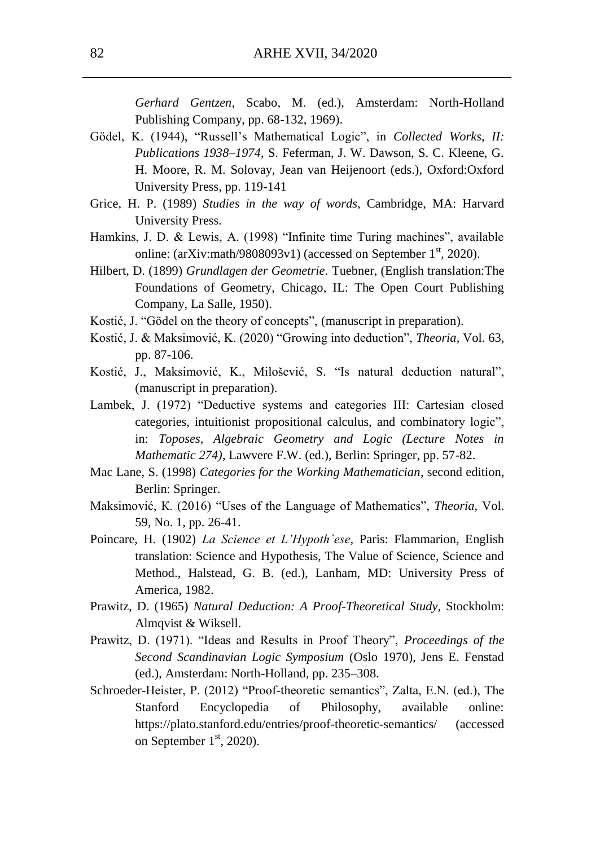*Gerhard Gentzen,* Scabo, M. (ed.), Amsterdam: North-Holland Publishing Company, pp. 68-132, 1969).

- Gödel, K. (1944), "Russell's Mathematical Logic", in *Collected Works, II: Publications 1938–1974*, S. Feferman, J. W. Dawson, S. C. Kleene, G. H. Moore, R. M. Solovay, Jean van Heijenoort (eds.), Oxford:Oxford University Press, pp. 119-141
- Grice, H. P. (1989) *Studies in the way of words*, Cambridge, MA: Harvard University Press.
- Hamkins, J. D. & Lewis, A. (1998) "Infinite time Turing machines", available online: (arXiv:math/9808093v1) (accessed on September  $1<sup>st</sup>$ , 2020).
- Hilbert, D. (1899) *Grundlagen der Geometrie*. Tuebner, (English translation:The Foundations of Geometry, Chicago, IL: The Open Court Publishing Company, La Salle, 1950).
- Kostić, J. "Gödel on the theory of concepts", (manuscript in preparation).
- Kostić, J. & Maksimović, K. (2020) "Growing into deduction", *Theoria*, Vol. 63, pp. 87-106.
- Kostić, J., Maksimović, K., Milošević, S. "Is natural deduction natural", (manuscript in preparation).
- Lambek, J. (1972) "Deductive systems and categories III: Cartesian closed categories, intuitionist propositional calculus, and combinatory logic", in: *Toposes, Algebraic Geometry and Logic (Lecture Notes in Mathematic 274)*, Lawvere F.W. (ed.), Berlin: Springer, pp. 57-82.
- Mac Lane, S. (1998) *Categories for the Working Mathematician*, second edition, Berlin: Springer.
- Maksimović, К. (2016) "Uses of the Language of Mathematics", *Theoria*, Vol. 59, No. 1, pp. 26-41.
- Poincare, H. (1902) *La Science et L'Hypoth`ese*, Paris: Flammarion, English translation: Science and Hypothesis, The Value of Science, Science and Method., Halstead, G. B. (ed.), Lanham, MD: University Press of America, 1982.
- Prawitz, D. (1965) *Natural Deduction: A Proof-Theoretical Study*, Stockholm: Almqvist & Wiksell.
- Prawitz, D. (1971). "Ideas and Results in Proof Theory", *Proceedings of the Second Scandinavian Logic Symposium* (Oslo 1970), Jens E. Fenstad (ed.), Amsterdam: North-Holland, pp. 235–308.
- Schroeder-Heister, P. (2012) "Proof-theoretic semantics", Zalta, E.N. (ed.), The Stanford Encyclopedia of Philosophy, available online: https://plato.stanford.edu/entries/proof-theoretic-semantics/ (accessed on September  $1<sup>st</sup>$ , 2020).